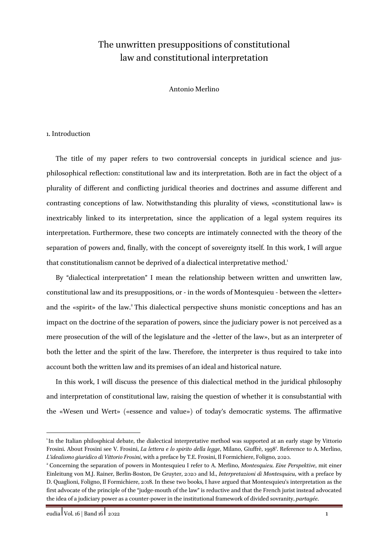# The unwritten presuppositions of constitutional law and constitutional interpretation

Antonio Merlino

## 1. Introduction

The title of my paper refers to two controversial concepts in juridical science and jusphilosophical reflection: constitutional law and its interpretation. Both are in fact the object of a plurality of different and conflicting juridical theories and doctrines and assume different and contrasting conceptions of law. Notwithstanding this plurality of views, «constitutional law» is inextricably linked to its interpretation, since the application of a legal system requires its interpretation. Furthermore, these two concepts are intimately connected with the theory of the separation of powers and, finally, with the concept of sovereignty itself. In this work, I will argue that constitutionalism cannot be deprived of a dialectical interpretative method.<sup>1</sup>

By "dialectical interpretation" I mean the relationship between written and unwritten law, constitutional law and its presuppositions, or - in the words of Montesquieu - between the «letter» and the «spirit» of the law.<sup>2</sup> This dialectical perspective shuns monistic conceptions and has an impact on the doctrine of the separation of powers, since the judiciary power is not perceived as a mere prosecution of the will of the legislature and the «letter of the law», but as an interpreter of both the letter and the spirit of the law. Therefore, the interpreter is thus required to take into account both the written law and its premises of an ideal and historical nature.

In this work, I will discuss the presence of this dialectical method in the juridical philosophy and interpretation of constitutional law, raising the question of whether it is consubstantial with the «Wesen und Wert» («essence and value») of today's democratic systems. The affirmative

<sup>&</sup>lt;sup>1</sup>In the Italian philosphical debate, the dialectical interpretative method was supported at an early stage by Vittorio Frosini. About Frosini see V. Frosini, *La lettera e lo spirito della legge*, Milano, Giuffrè, 19983 . Reference to A. Merlino, *L'idealismo giuridico di Vittorio Frosini*, with a preface by T.E. Frosini, Il Formichiere, Foligno, 2020.

<sup>2</sup> Concerning the separation of powers in Montesquieu I refer to A. Merlino, *Montesquieu. Eine Perspektive*, mit einer Einleitung von M.J. Rainer, Berlin-Boston, De Gruyter, 2020 and Id., *Interpretazioni di Montesquieu*, with a preface by D. Quaglioni, Foligno, Il Formichiere, 2018. In these two books, I have argued that Montesquieu's interpretation as the first advocate of the principle of the "judge-mouth of the law" is reductive and that the French jurist instead advocated the idea of a judiciary power as a counter-power in the institutional framework of divided sovranity, *partagée*.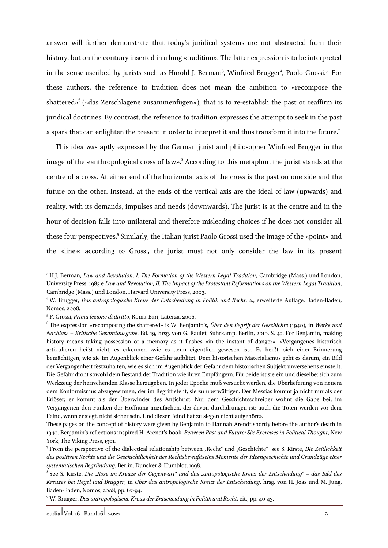answer will further demonstrate that today's juridical systems are not abstracted from their history, but on the contrary inserted in a long «tradition». The latter expression is to be interpreted in the sense ascribed by jurists such as Harold J. Berman<sup>3</sup>, Winfried Brugger<sup>4</sup>, Paolo Grossi.<sup>5</sup> For these authors, the reference to tradition does not mean the ambition to «recompose the shattered»<sup>6</sup> («das Zerschlagene zusammenfügen»), that is to re-establish the past or reaffirm its juridical doctrines. By contrast, the reference to tradition expresses the attempt to seek in the past a spark that can enlighten the present in order to interpret it and thus transform it into the future.<sup>7</sup>

This idea was aptly expressed by the German jurist and philosopher Winfried Brugger in the image of the «anthropological cross of law».<sup>8</sup> According to this metaphor, the jurist stands at the centre of a cross. At either end of the horizontal axis of the cross is the past on one side and the future on the other. Instead, at the ends of the vertical axis are the ideal of law (upwards) and reality, with its demands, impulses and needs (downwards). The jurist is at the centre and in the hour of decision falls into unilateral and therefore misleading choices if he does not consider all these four perspectives.<sup>9</sup> Similarly, the Italian jurist Paolo Grossi used the image of the «point» and the «line»: according to Grossi, the jurist must not only consider the law in its present

<sup>3</sup> H.J. Berman, *Law and Revolution*, *I. The Formation of the Western Legal Tradition*, Cambridge (Mass.) und London, University Press, 1983 e *Law and Revolution, II. The Impact of the Protestant Reformations on the Western Legal Tradition*, Cambridge (Mass.) und London, Harvard University Press, 2003.

<sup>4</sup> W. Brugger, *Das antropologische Kreuz der Entscheidung in Politik und Recht*, 2., erweiterte Auflage, Baden-Baden, Nomos, 2008.

<sup>5</sup> P. Grossi, *Prima lezione di diritto*, Roma-Bari, Laterza, 2006.

<sup>6</sup> The expression «recomposing the shattered» is W. Benjamin's, *Über den Begriff der Geschichte* (1940), in *Werke und Nachlass – Kritische Gesamtausgabe*, Bd. 19, hrsg. von G. Raulet, Suhrkamp, Berlin, 2010, S. 43. For Benjamin, making history means taking possession of a memory as it flashes «in the instant of danger»: «Vergangenes historisch artikulieren heißt nicht, es erkennen ›wie es denn eigentlich gewesen ist‹. Es heißt, sich einer Erinnerung bemächtigen, wie sie im Augenblick einer Gefahr aufblitzt. Dem historischen Materialismus geht es darum, ein Bild der Vergangenheit festzuhalten, wie es sich im Augenblick der Gefahr dem historischen Subjekt unversehens einstellt. Die Gefahr droht sowohl dem Bestand der Tradition wie ihren Empfängern. Für beide ist sie ein und dieselbe: sich zum Werkzeug der herrschenden Klasse herzugeben. In jeder Epoche muß versucht werden, die Überlieferung von neuem dem Konformismus abzugewinnen, der im Begriff steht, sie zu überwältigen. Der Messias kommt ja nicht nur als der Erlöser; er kommt als der Überwinder des Antichrist. Nur dem Geschichtsschreiber wohnt die Gabe bei, im Vergangenen den Funken der Hoffnung anzufachen, der davon durchdrungen ist: auch die Toten werden vor dem Feind, wenn er siegt, nicht sicher sein. Und dieser Feind hat zu siegen nicht aufgehört».

These pages on the concept of history were given by Benjamin to Hannah Arendt shortly before the author's death in 1940. Benjamin's reflections inspired H. Arendt's book, *Between Past and Future: Six Exercises in Political Thought*, New York, The Viking Press, 1961.

<sup>7</sup> From the perspective of the dialectical relationship between "Recht" und "Geschichte" see S. Kirste, *Die Zeitlichkeit des positiven Rechts und die Geschichtlichkeit des Rechtsbewußtseins Momente der Ideengeschichte und Grundzüge einer systematischen Begründung*, Berlin, Duncker & Humblot, 1998.

<sup>8</sup> See S. Kirste, *Die "Rose im Kreuze der Gegenwart" und das "antopologische Kreuz der Entscheidung" – das Bild des Kreuzes bei Hegel und Brugger*, in *Über das antropologische Kreuz der Entscheidung*, hrsg. von H. Joas und M. Jung, Baden-Baden, Nomos, 2008, pp. 67-94.

<sup>9</sup> W. Brugger, *Das antropologische Kreuz der Entscheidung in Politik und Recht*, cit., pp. 40-43.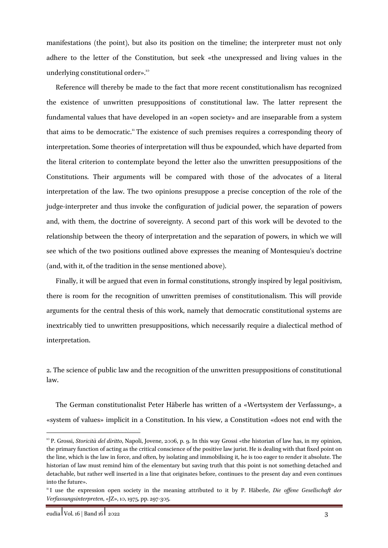manifestations (the point), but also its position on the timeline; the interpreter must not only adhere to the letter of the Constitution, but seek «the unexpressed and living values in the underlying constitutional order».<sup>10</sup>

Reference will thereby be made to the fact that more recent constitutionalism has recognized the existence of unwritten presuppositions of constitutional law. The latter represent the fundamental values that have developed in an «open society» and are inseparable from a system that aims to be democratic.<sup>11</sup> The existence of such premises requires a corresponding theory of interpretation. Some theories of interpretation will thus be expounded, which have departed from the literal criterion to contemplate beyond the letter also the unwritten presuppositions of the Constitutions. Their arguments will be compared with those of the advocates of a literal interpretation of the law. The two opinions presuppose a precise conception of the role of the judge-interpreter and thus invoke the configuration of judicial power, the separation of powers and, with them, the doctrine of sovereignty. A second part of this work will be devoted to the relationship between the theory of interpretation and the separation of powers, in which we will see which of the two positions outlined above expresses the meaning of Montesquieu's doctrine (and, with it, of the tradition in the sense mentioned above).

Finally, it will be argued that even in formal constitutions, strongly inspired by legal positivism, there is room for the recognition of unwritten premises of constitutionalism. This will provide arguments for the central thesis of this work, namely that democratic constitutional systems are inextricably tied to unwritten presuppositions, which necessarily require a dialectical method of interpretation.

2. The science of public law and the recognition of the unwritten presuppositions of constitutional law.

The German constitutionalist Peter Häberle has written of a «Wertsystem der Verfassung», a «system of values» implicit in a Constitution. In his view, a Constitution «does not end with the

<sup>10</sup> P. Grossi, *Storicità del diritto*, Napoli, Jovene, 2006, p. 9. In this way Grossi «the historian of law has, in my opinion, the primary function of acting as the critical conscience of the positive law jurist. He is dealing with that fixed point on the line, which is the law in force, and often, by isolating and immobilising it, he is too eager to render it absolute. The historian of law must remind him of the elementary but saving truth that this point is not something detached and detachable, but rather well inserted in a line that originates before, continues to the present day and even continues into the future».

<sup>11</sup> I use the expression open society in the meaning attributed to it by P. Häberle, *Die offene Gesellschaft der Verfassungsinterpreten*, «JZ», 10, 1975, pp. 297-305.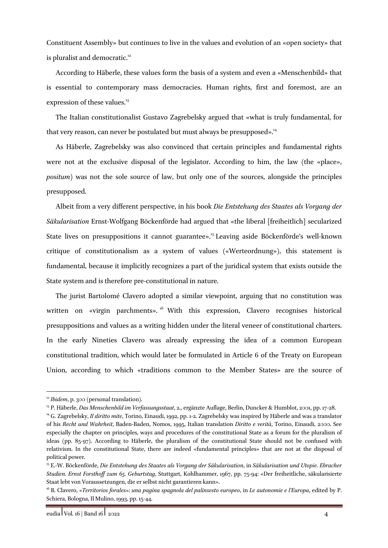Constituent Assembly» but continues to live in the values and evolution of an «open society» that is pluralist and democratic.<sup>12</sup>

According to Häberle, these values form the basis of a system and even a «Menschenbild» that is essential to contemporary mass democracies. Human rights, first and foremost, are an expression of these values.<sup>13</sup>

The Italian constitutionalist Gustavo Zagrebelsky argued that «what is truly fundamental, for that very reason, can never be postulated but must always be presupposed».<sup>14</sup>

As Häberle, Zagrebelsky was also convinced that certain principles and fundamental rights were not at the exclusive disposal of the legislator. According to him, the law (the «place», *positum*) was not the sole source of law, but only one of the sources, alongside the principles presupposed.

Albeit from a very different perspective, in his book *Die Entstehung des Staates als Vorgang der Säkularisation* Ernst-Wolfgang Böckenförde had argued that «the liberal [freiheitlich] secularized State lives on presuppositions it cannot guarantee».<sup>15</sup> Leaving aside Böckenförde's well-known critique of constitutionalism as a system of values («Werteordnung»), this statement is fundamental, because it implicitly recognizes a part of the juridical system that exists outside the State system and is therefore pre-constitutional in nature.

The jurist Bartolomé Clavero adopted a similar viewpoint, arguing that no constitution was written on «virgin parchments». <sup>16</sup> With this expression, Clavero recognises historical presuppositions and values as a writing hidden under the literal veneer of constitutional charters. In the early Nineties Clavero was already expressing the idea of a common European constitutional tradition, which would later be formulated in Article 6 of the Treaty on European Union, according to which «traditions common to the Member States» are the source of

<sup>&</sup>lt;sup>12</sup> *Ibidem*, p. 300 (personal translation).

<sup>13</sup> P. Häberle, *Das Menschenbild im Verfassungsstaat*, 2., ergänzte Auflage, Berlin, Duncker & Humblot, 2001, pp. 17-28.

<sup>14</sup> G. Zagrebelsky, *Il diritto mite*, Torino, Einaudi, 1992, pp. 1-2. Zagrebelsky was inspired by Häberle and was a translator of his *Recht und Wahrheit*, Baden-Baden, Nomos, 1995, Italian translation *Diritto e verità*, Torino, Einaudi, 2000. See especially the chapter on principles, ways and procedures of the constitutional State as a forum for the pluralism of ideas (pp. 85-97). According to Häberle, the pluralism of the constitutional State should not be confused with relativism. In the constitutional State, there are indeed «fundamental principles» that are not at the disposal of political power.

<sup>15</sup> E.-W. Böckenförde, *Die Entstehung des Staates als Vorgang der Säkularisation*, in *Säkularisation und Utopie. Ebracher Studien. Ernst Forsthoff zum 65. Geburtstag*, Stuttgart, Kohlhammer, 1967, pp. 75-94: «Der freiheitliche, säkularisierte Staat lebt von Voraussetzungen, die er selbst nicht garantieren kann».

<sup>16</sup> B. Clavero, *«Territorios forales»: una pagina spagnola del palinsesto europeo*, in *Le autonomie e l'Europa*, edited by P. Schiera, Bologna, Il Mulino, 1993, pp. 15-44.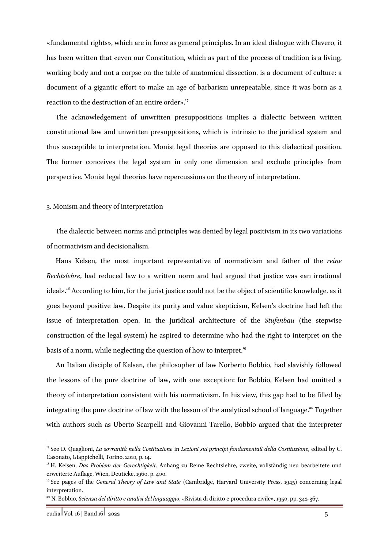«fundamental rights», which are in force as general principles. In an ideal dialogue with Clavero, it has been written that «even our Constitution, which as part of the process of tradition is a living, working body and not a corpse on the table of anatomical dissection, is a document of culture: a document of a gigantic effort to make an age of barbarism unrepeatable, since it was born as a reaction to the destruction of an entire order».<sup>17</sup>

The acknowledgement of unwritten presuppositions implies a dialectic between written constitutional law and unwritten presuppositions, which is intrinsic to the juridical system and thus susceptible to interpretation. Monist legal theories are opposed to this dialectical position. The former conceives the legal system in only one dimension and exclude principles from perspective. Monist legal theories have repercussions on the theory of interpretation.

#### 3. Monism and theory of interpretation

The dialectic between norms and principles was denied by legal positivism in its two variations of normativism and decisionalism.

Hans Kelsen, the most important representative of normativism and father of the *reine Rechtslehre*, had reduced law to a written norm and had argued that justice was «an irrational ideal».<sup>18</sup> According to him, for the jurist justice could not be the object of scientific knowledge, as it goes beyond positive law. Despite its purity and value skepticism, Kelsen's doctrine had left the issue of interpretation open. In the juridical architecture of the *Stufenbau* (the stepwise construction of the legal system) he aspired to determine who had the right to interpret on the basis of a norm, while neglecting the question of how to interpret.<sup>19</sup>

An Italian disciple of Kelsen, the philosopher of law Norberto Bobbio, had slavishly followed the lessons of the pure doctrine of law, with one exception: for Bobbio, Kelsen had omitted a theory of interpretation consistent with his normativism. In his view, this gap had to be filled by integrating the pure doctrine of law with the lesson of the analytical school of language.<sup>20</sup> Together with authors such as Uberto Scarpelli and Giovanni Tarello, Bobbio argued that the interpreter

<sup>17</sup> See D. Quaglioni, *La sovranità nella Costituzione* in *Lezioni sui principi fondamentali della Costituzione*, edited by C. Casonato, Giappichelli, Torino, 2010, p. 14.

<sup>18</sup> H. Kelsen, *Das Problem der Gerechtigkeit,* Anhang zu Reine Rechtslehre, zweite, vollständig neu bearbeitete und erweiterte Auflage, Wien, Deuticke, 1960, p. 400.

<sup>19</sup> See pages of the *General Theory of Law and State* (Cambridge, Harvard University Press, 1945) concerning legal interpretation.

<sup>20</sup> N. Bobbio, *Scienza del diritto e analisi del linguaggio*, «Rivista di diritto e procedura civile», 1950, pp. 342-367.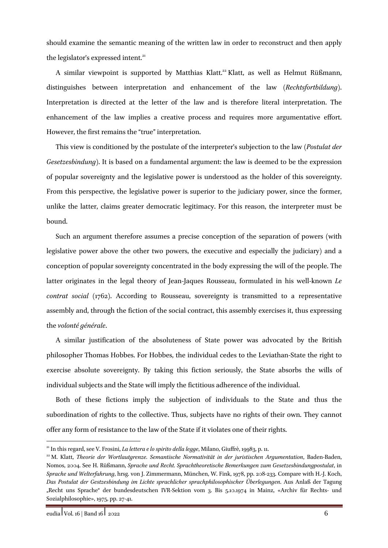should examine the semantic meaning of the written law in order to reconstruct and then apply the legislator's expressed intent.<sup>21</sup>

A similar viewpoint is supported by Matthias Klatt.<sup>22</sup> Klatt, as well as Helmut Rüßmann, distinguishes between interpretation and enhancement of the law (*Rechtsfortbildung*). Interpretation is directed at the letter of the law and is therefore literal interpretation. The enhancement of the law implies a creative process and requires more argumentative effort. However, the first remains the "true" interpretation.

This view is conditioned by the postulate of the interpreter's subjection to the law (*Postulat der Gesetzesbindung*). It is based on a fundamental argument: the law is deemed to be the expression of popular sovereignty and the legislative power is understood as the holder of this sovereignty. From this perspective, the legislative power is superior to the judiciary power, since the former, unlike the latter, claims greater democratic legitimacy. For this reason, the interpreter must be bound.

Such an argument therefore assumes a precise conception of the separation of powers (with legislative power above the other two powers, the executive and especially the judiciary) and a conception of popular sovereignty concentrated in the body expressing the will of the people. The latter originates in the legal theory of Jean-Jaques Rousseau, formulated in his well-known *Le contrat social* (1762). According to Rousseau, sovereignty is transmitted to a representative assembly and, through the fiction of the social contract, this assembly exercises it, thus expressing the *volonté générale*.

A similar justification of the absoluteness of State power was advocated by the British philosopher Thomas Hobbes. For Hobbes, the individual cedes to the Leviathan-State the right to exercise absolute sovereignty. By taking this fiction seriously, the State absorbs the wills of individual subjects and the State will imply the fictitious adherence of the individual.

Both of these fictions imply the subjection of individuals to the State and thus the subordination of rights to the collective. Thus, subjects have no rights of their own. They cannot offer any form of resistance to the law of the State if it violates one of their rights.

<sup>21</sup> In this regard, see V. Frosini, *La lettera e lo spirito della legge*, Milano, Giuffrè, 19983, p. 11.

<sup>22</sup> M. Klatt, *Theorie der Wortlautgrenze. Semantische Normativität in der juristischen Argumentation*, Baden-Baden, Nomos, 2004. See H. Rüßmann, *Sprache und Recht. Sprachtheoretische Bemerkungen zum Gesetzesbindungpostulat*, in *Sprache und Welterfahrung*, hrsg. von J. Zimmermann, München, W. Fink, 1978, pp. 208-233. Compare with H.-J. Koch, *Das Postulat der Gestzesbindung im Lichte sprachlicher sprachphilosophischer Überlegungen*. Aus Anlaß der Tagung "Recht uns Sprache" der bundesdeutschen IVR-Sektion vom 3. Bis 5.10.1974 in Mainz, «Archiv für Rechts- und Sozialphilosophie», 1975, pp. 27-41.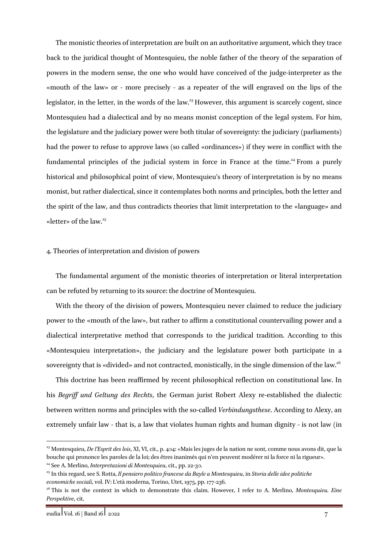The monistic theories of interpretation are built on an authoritative argument, which they trace back to the juridical thought of Montesquieu, the noble father of the theory of the separation of powers in the modern sense, the one who would have conceived of the judge-interpreter as the «mouth of the law» or - more precisely - as a repeater of the will engraved on the lips of the legislator, in the letter, in the words of the law.<sup>23</sup> However, this argument is scarcely cogent, since Montesquieu had a dialectical and by no means monist conception of the legal system. For him, the legislature and the judiciary power were both titular of sovereignty: the judiciary (parliaments) had the power to refuse to approve laws (so called «ordinances») if they were in conflict with the fundamental principles of the judicial system in force in France at the time.<sup>24</sup> From a purely historical and philosophical point of view, Montesquieu's theory of interpretation is by no means monist, but rather dialectical, since it contemplates both norms and principles, both the letter and the spirit of the law, and thus contradicts theories that limit interpretation to the «language» and «letter» of the  $law.<sup>25</sup>$ 

### 4. Theories of interpretation and division of powers

The fundamental argument of the monistic theories of interpretation or literal interpretation can be refuted by returning to its source: the doctrine of Montesquieu.

With the theory of the division of powers, Montesquieu never claimed to reduce the judiciary power to the «mouth of the law», but rather to affirm a constitutional countervailing power and a dialectical interpretative method that corresponds to the juridical tradition. According to this «Montesquieu interpretation», the judiciary and the legislature power both participate in a sovereignty that is «divided» and not contracted, monistically, in the single dimension of the law.<sup>26</sup>

This doctrine has been reaffirmed by recent philosophical reflection on constitutional law. In his *Begriff und Geltung des Rechts*, the German jurist Robert Alexy re-established the dialectic between written norms and principles with the so-called *Verbindungsthese*. According to Alexy, an extremely unfair law - that is, a law that violates human rights and human dignity - is not law (in

<sup>23</sup> Montesquieu, *De l'Esprit des lois*, XI, VI, cit., p. 404: «Mais les juges de la nation ne sont, comme nous avons dit, que la bouche qui prononce les paroles de la loi; des êtres inanimés qui n'en peuvent modérer ni la force ni la rigueur». <sup>24</sup> See A. Merlino, *Interpretazioni di Montesquieu*, cit., pp. 22-30.

<sup>25</sup> In this regard, see S. Rotta, *Il pensiero politico francese da Bayle a Montesquieu*, in *Storia delle idee politiche economiche sociali*, vol. IV: L'età moderna, Torino, Utet, 1975, pp. 177-236.

<sup>26</sup> This is not the context in which to demonstrate this claim. However, I refer to A. Merlino, *Montesquieu. Eine Perspektive*, cit.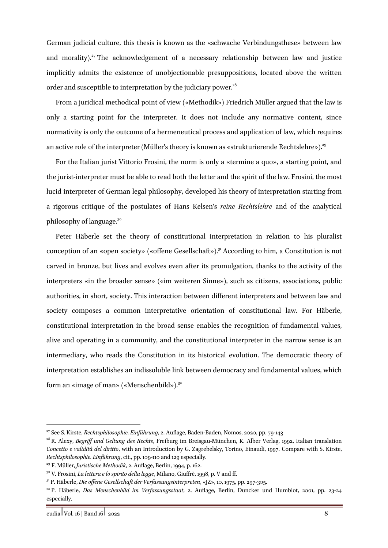German judicial culture, this thesis is known as the «schwache Verbindungsthese» between law and morality).<sup>27</sup> The acknowledgement of a necessary relationship between law and justice implicitly admits the existence of unobjectionable presuppositions, located above the written order and susceptible to interpretation by the judiciary power.<sup>28</sup>

From a juridical methodical point of view («Methodik») Friedrich Müller argued that the law is only a starting point for the interpreter. It does not include any normative content, since normativity is only the outcome of a hermeneutical process and application of law, which requires an active role of the interpreter (Müller's theory is known as «strukturierende Rechtslehre»).<sup>29</sup>

For the Italian jurist Vittorio Frosini, the norm is only a «termine a quo», a starting point, and the jurist-interpreter must be able to read both the letter and the spirit of the law. Frosini, the most lucid interpreter of German legal philosophy, developed his theory of interpretation starting from a rigorous critique of the postulates of Hans Kelsen's *reine Rechtslehre* and of the analytical philosophy of language.30

Peter Häberle set the theory of constitutional interpretation in relation to his pluralist conception of an «open society» («offene Gesellschaft»).<sup>31</sup> According to him, a Constitution is not carved in bronze, but lives and evolves even after its promulgation, thanks to the activity of the interpreters «in the broader sense» («im weiteren Sinne»), such as citizens, associations, public authorities, in short, society. This interaction between different interpreters and between law and society composes a common interpretative orientation of constitutional law. For Häberle, constitutional interpretation in the broad sense enables the recognition of fundamental values, alive and operating in a community, and the constitutional interpreter in the narrow sense is an intermediary, who reads the Constitution in its historical evolution. The democratic theory of interpretation establishes an indissoluble link between democracy and fundamental values, which form an «image of man» («Menschenbild»). $32$ 

<sup>&</sup>lt;sup>27</sup> See S. Kirste, *Rechtsphilosophie. Einführung*, 2. Auflage, Baden-Baden, Nomos, 2020, pp. 79-143<br><sup>28</sup> R. Alexy, *Begriff und Geltung des Rechts*, Freiburg im Breisgau-München, K. Alber Verlag, 1992, Italian translatio

*Concetto e validità del diritto*, with an Introduction by G. Zagrebelsky, Torino, Einaudi, 1997. Compare with S. Kirste, *Rechtsphilosophie. Einführung*, cit., pp. 109-110 and 129 especially.

<sup>29</sup> F. Müller, *Juristische Methodik*, 2. Auflage, Berlin, 1994, p. 162.

<sup>30</sup> V. Frosini, *La lettera e lo spirito della legge*, Milano, Giuffrè, 1998, p. V and ff.

<sup>31</sup> P. Häberle, *Die offene Gesellschaft der Verfassungsinterpreten*, «JZ», 10, 1975, pp. 297-305.

<sup>32</sup> P. Häberle, *Das Menschenbild im Verfassungsstaat*, 2. Auflage, Berlin, Duncker und Humblot, 2001, pp. 23-24 especially.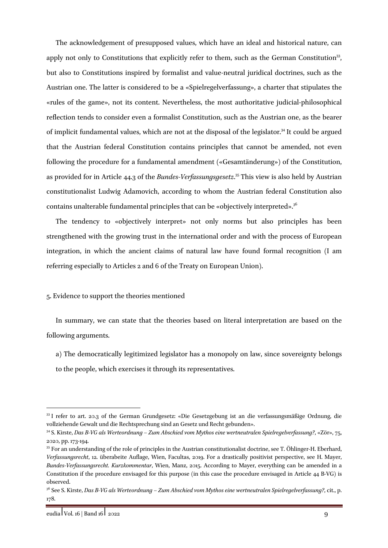The acknowledgement of presupposed values, which have an ideal and historical nature, can apply not only to Constitutions that explicitly refer to them, such as the German Constitution<sup>33</sup>, but also to Constitutions inspired by formalist and value-neutral juridical doctrines, such as the Austrian one. The latter is considered to be a «Spielregelverfassung», a charter that stipulates the «rules of the game», not its content. Nevertheless, the most authoritative judicial-philosophical reflection tends to consider even a formalist Constitution, such as the Austrian one, as the bearer of implicit fundamental values, which are not at the disposal of the legislator.<sup>34</sup> It could be argued that the Austrian federal Constitution contains principles that cannot be amended, not even following the procedure for a fundamental amendment («Gesamtänderung») of the Constitution, as provided for in Article 44.3 of the *Bundes-Verfassungsgesetz*. <sup>35</sup> This view is also held by Austrian constitutionalist Ludwig Adamovich, according to whom the Austrian federal Constitution also contains unalterable fundamental principles that can be «objectively interpreted».<sup>36</sup>

The tendency to «objectively interpret» not only norms but also principles has been strengthened with the growing trust in the international order and with the process of European integration, in which the ancient claims of natural law have found formal recognition (I am referring especially to Articles 2 and 6 of the Treaty on European Union).

### 5. Evidence to support the theories mentioned

In summary, we can state that the theories based on literal interpretation are based on the following arguments.

a) The democratically legitimized legislator has a monopoly on law, since sovereignty belongs to the people, which exercises it through its representatives.

<sup>33</sup> I refer to art. 20.3 of the German Grundgesetz: «Die Gesetzgebung ist an die verfassungsmäßige Ordnung, die vollziehende Gewalt und die Rechtsprechung sind an Gesetz und Recht gebunden».

<sup>34</sup> S. Kirste, *Das B-VG als Werteordnung – Zum Abschied vom Mythos eine wertneutralen Spielregelverfassung?*, «Zör», 75, 2020, pp. 173-194.

<sup>35</sup> For an understanding of the role of principles in the Austrian constitutionalist doctrine, see T. Öhlinger-H. Eberhard, *Verfassungsrecht*, 12. überabeite Auflage, Wien, Facultas, 2019. For a drastically positivist perspective, see H. Mayer, *Bundes-Verfassungsrecht. Kurzkommentar*, Wien, Manz, 2015. According to Mayer, everything can be amended in a Constitution if the procedure envisaged for this purpose (in this case the procedure envisaged in Article 44 B-VG) is observed.

<sup>36</sup> See S. Kirste, *Das B-VG als Werteordnung – Zum Abschied vom Mythos eine wertneutralen Spielregelverfassung?*, cit., p. 178.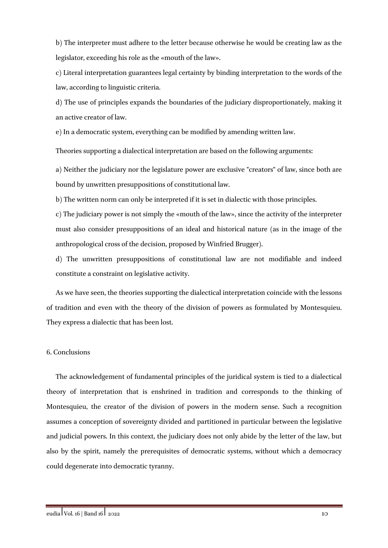b) The interpreter must adhere to the letter because otherwise he would be creating law as the legislator, exceeding his role as the «mouth of the law».

c) Literal interpretation guarantees legal certainty by binding interpretation to the words of the law, according to linguistic criteria.

d) The use of principles expands the boundaries of the judiciary disproportionately, making it an active creator of law.

e) In a democratic system, everything can be modified by amending written law.

Theories supporting a dialectical interpretation are based on the following arguments:

a) Neither the judiciary nor the legislature power are exclusive "creators" of law, since both are bound by unwritten presuppositions of constitutional law.

b) The written norm can only be interpreted if it is set in dialectic with those principles.

c) The judiciary power is not simply the «mouth of the law», since the activity of the interpreter must also consider presuppositions of an ideal and historical nature (as in the image of the anthropological cross of the decision, proposed by Winfried Brugger).

d) The unwritten presuppositions of constitutional law are not modifiable and indeed constitute a constraint on legislative activity.

As we have seen, the theories supporting the dialectical interpretation coincide with the lessons of tradition and even with the theory of the division of powers as formulated by Montesquieu. They express a dialectic that has been lost.

## 6. Conclusions

The acknowledgement of fundamental principles of the juridical system is tied to a dialectical theory of interpretation that is enshrined in tradition and corresponds to the thinking of Montesquieu, the creator of the division of powers in the modern sense. Such a recognition assumes a conception of sovereignty divided and partitioned in particular between the legislative and judicial powers. In this context, the judiciary does not only abide by the letter of the law, but also by the spirit, namely the prerequisites of democratic systems, without which a democracy could degenerate into democratic tyranny.